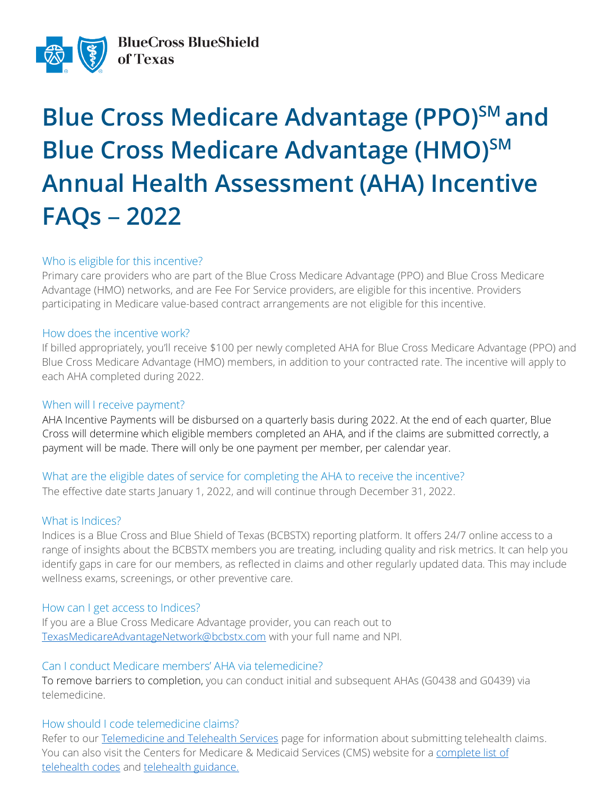

# **Blue Cross Medicare Advantage (PPO)**SM and **Blue Cross Medicare Advantage (HMO)SM Annual Health Assessment (AHA) Incentive FAQs** – **2022**

### Who is eligible for this incentive?

Primary care providers who are part of the Blue Cross Medicare Advantage (PPO) and Blue Cross Medicare Advantage (HMO) networks, and are Fee For Service providers, are eligible for this incentive. Providers participating in Medicare value-based contract arrangements are not eligible for this incentive.

#### How does the incentive work?

If billed appropriately, you'll receive \$100 per newly completed AHA for Blue Cross Medicare Advantage (PPO) and Blue Cross Medicare Advantage (HMO) members, in addition to your contracted rate. The incentive will apply to each AHA completed during 2022.

### When will I receive payment?

AHA Incentive Payments will be disbursed on a quarterly basis during 2022. At the end of each quarter, Blue Cross will determine which eligible members completed an AHA, and if the claims are submitted correctly, a payment will be made. There will only be one payment per member, per calendar year.

### What are the eligible dates of service for completing the AHA to receive the incentive?

The effective date starts January 1, 2022, and will continue through December 31, 2022.

### What is Indices?

Indices is a Blue Cross and Blue Shield of Texas (BCBSTX) reporting platform. It offers 24/7 online access to a range of insights about the BCBSTX members you are treating, including quality and risk metrics. It can help you identify gaps in care for our members, as reflected in claims and other regularly updated data. This may include wellness exams, screenings, or other preventive care.

### How can I get access to Indices?

If you are a Blue Cross Medicare Advantage provider, you can reach out to [TexasMedicareAdvantageNetwork@bcbstx.com](mailto:TexasMedicareAdvantageNetwork@bcbstx.com?subject=Access%20to%20Indices) with your full name and NPI.

### Can I conduct Medicare members' AHA via telemedicine?

To remove barriers to completion, you can conduct initial and subsequent AHAs (G0438 and G0439) via telemedicine.

### How should I code telemedicine claims?

Refer to our [Telemedicine and Telehealth Services](https://www.bcbstx.com/provider/clinical/tele_services.html) page for information about submitting telehealth claims. You can also visit the Centers for Medicare & Medicaid Services (CMS) website for a [complete](https://www.cms.gov/Medicare/Medicare-General-Information/Telehealth/Telehealth-Codes) list of [telehealth](https://www.cms.gov/Medicare/Medicare-General-Information/Telehealth/Telehealth-Codes) codes and [telehealth guidance.](https://www.cms.gov/About-CMS/Agency-Information/Emergency/EPRO/Current-Emergencies/Current-Emergencies-page)